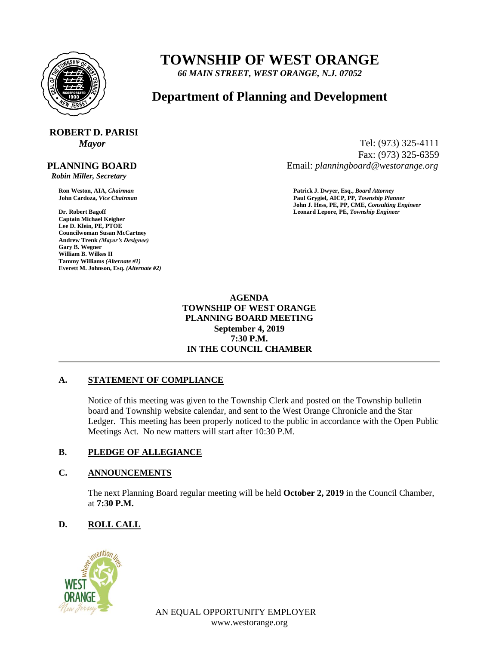

## **TOWNSHIP OF WEST ORANGE**

*66 MAIN STREET, WEST ORANGE, N.J. 07052*

### **Department of Planning and Development**

# **ROBERT D. PARISI**

#### **PLANNING BOARD**

 *Robin Miller, Secretary*

**Captain Michael Keigher Lee D. Klein, PE, PTOE Councilwoman Susan McCartney Andrew Trenk** *(Mayor's Designee)* **Gary B. Wegner William B. Wilkes II Tammy Williams** *(Alternate #1)* **Everett M. Johnson, Esq.** *(Alternate #2)*

*Mayor* Tel: (973) 325-4111 Fax: (973) 325-6359 Email: *planningboard@westorange.org*

**Ron Weston, AIA,** *Chairman* **Patrick J. Dwyer, Esq.,** *Board Attorney* **John Cardoza,** *Vice Chairman* **Paul Grygiel, AICP, PP,** *Township Planner* **John J. Hess, PE, PP, CME,** *Consulting Engineer* **Dr. Robert Bagoff Leonard Lepore, PE,** *Township Engineer*

> **AGENDA TOWNSHIP OF WEST ORANGE PLANNING BOARD MEETING September 4, 2019 7:30 P.M. IN THE COUNCIL CHAMBER**

#### **A. STATEMENT OF COMPLIANCE**

Notice of this meeting was given to the Township Clerk and posted on the Township bulletin board and Township website calendar, and sent to the West Orange Chronicle and the Star Ledger. This meeting has been properly noticed to the public in accordance with the Open Public Meetings Act. No new matters will start after 10:30 P.M.

#### **B. PLEDGE OF ALLEGIANCE**

#### **C. ANNOUNCEMENTS**

The next Planning Board regular meeting will be held **October 2, 2019** in the Council Chamber, at **7:30 P.M.**

#### **D. ROLL CALL**